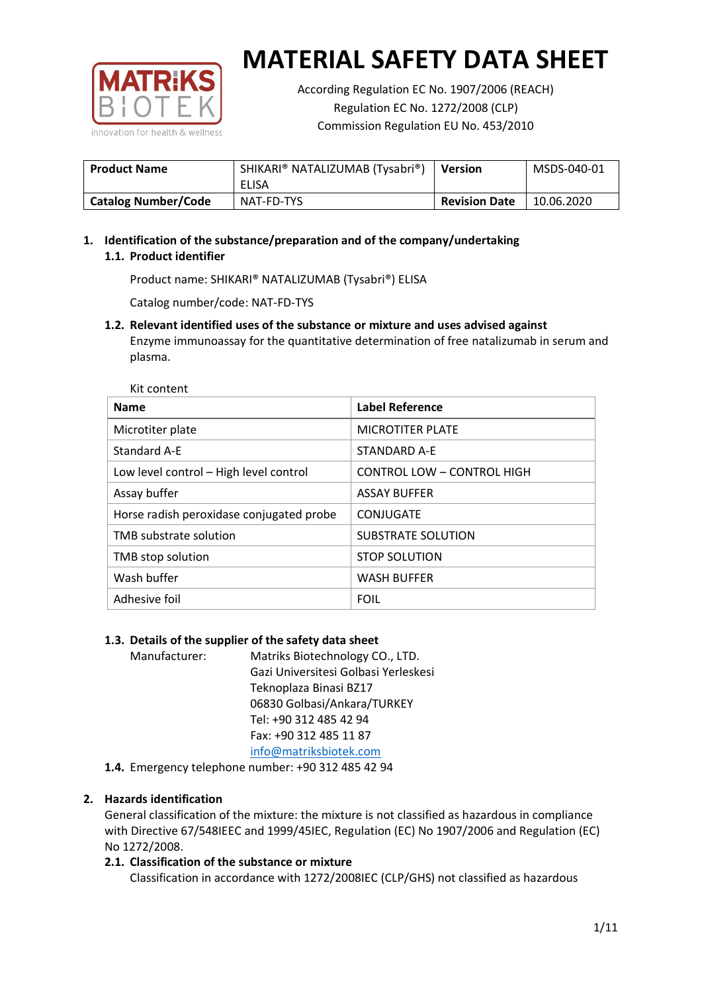

Kit content

# **MATERIAL SAFETY DATA SHEET**

According Regulation EC No. 1907/2006 (REACH) Regulation EC No. 1272/2008 (CLP) Commission Regulation EU No. 453/2010

| <b>Product Name</b> | SHIKARI® NATALIZUMAB (Tysabri®) | <b>Version</b>       | MSDS-040-01 |
|---------------------|---------------------------------|----------------------|-------------|
|                     | ELISA                           |                      |             |
| Catalog Number/Code | NAT-FD-TYS                      | <b>Revision Date</b> | 10.06.2020  |

# **1. Identification of the substance/preparation and of the company/undertaking 1.1. Product identifier**

Product name: SHIKARI® NATALIZUMAB (Tysabri®) ELISA

Catalog number/code: NAT-FD-TYS

## **1.2. Relevant identified uses of the substance or mixture and uses advised against**

Enzyme immunoassay for the quantitative determination of free natalizumab in serum and plasma.

| <b>Name</b>                              | <b>Label Reference</b>            |
|------------------------------------------|-----------------------------------|
| Microtiter plate                         | <b>MICROTITER PLATE</b>           |
| Standard A-E                             | STANDARD A-E                      |
| Low level control - High level control   | <b>CONTROL LOW - CONTROL HIGH</b> |
| Assay buffer                             | <b>ASSAY BUFFER</b>               |
| Horse radish peroxidase conjugated probe | CONJUGATE                         |
| TMB substrate solution                   | SUBSTRATE SOLUTION                |
| TMB stop solution                        | <b>STOP SOLUTION</b>              |
| Wash buffer                              | <b>WASH BUFFER</b>                |
| Adhesive foil                            | <b>FOIL</b>                       |

# **1.3. Details of the supplier of the safety data sheet**

Manufacturer: Matriks Biotechnology CO., LTD. Gazi Universitesi Golbasi Yerleskesi Teknoplaza Binasi BZ17 06830 Golbasi/Ankara/TURKEY Tel: +90 312 485 42 94 Fax: +90 312 485 11 87 [info@matriksbiotek.com](mailto:info@matriksbiotek.com)

**1.4.** Emergency telephone number: +90 312 485 42 94

# **2. Hazards identification**

General classification of the mixture: the mixture is not classified as hazardous in compliance with Directive 67/548IEEC and 1999/45IEC, Regulation (EC) No 1907/2006 and Regulation (EC) No 1272/2008.

# **2.1. Classification of the substance or mixture**

Classification in accordance with 1272/2008IEC (CLP/GHS) not classified as hazardous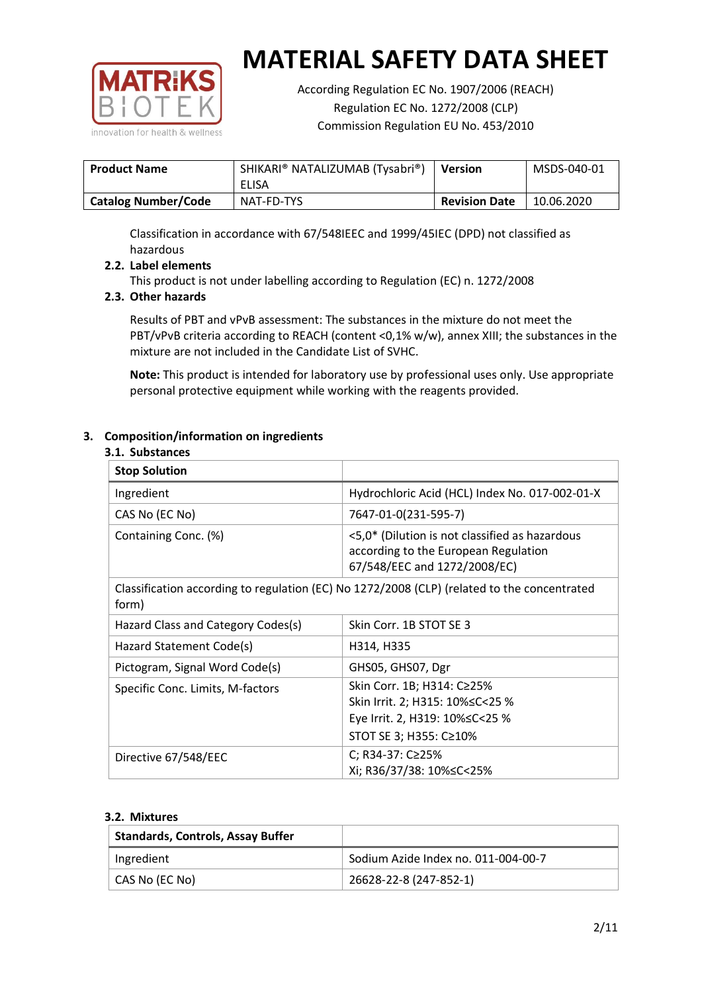

According Regulation EC No. 1907/2006 (REACH) Regulation EC No. 1272/2008 (CLP) Commission Regulation EU No. 453/2010

| <b>Product Name</b>        | SHIKARI® NATALIZUMAB (Tysabri®)<br>ELISA | <b>Version</b>       | MSDS-040-01 |
|----------------------------|------------------------------------------|----------------------|-------------|
| <b>Catalog Number/Code</b> | NAT-FD-TYS                               | <b>Revision Date</b> | 10.06.2020  |

Classification in accordance with 67/548IEEC and 1999/45IEC (DPD) not classified as hazardous

## **2.2. Label elements**

This product is not under labelling according to Regulation (EC) n. 1272/2008

## **2.3. Other hazards**

Results of PBT and vPvB assessment: The substances in the mixture do not meet the PBT/vPvB criteria according to REACH (content <0,1% w/w), annex XIII; the substances in the mixture are not included in the Candidate List of SVHC.

**Note:** This product is intended for laboratory use by professional uses only. Use appropriate personal protective equipment while working with the reagents provided.

## **3. Composition/information on ingredients**

#### **3.1. Substances**

| <b>Stop Solution</b>               |                                                                                                                           |
|------------------------------------|---------------------------------------------------------------------------------------------------------------------------|
| Ingredient                         | Hydrochloric Acid (HCL) Index No. 017-002-01-X                                                                            |
| CAS No (EC No)                     | 7647-01-0(231-595-7)                                                                                                      |
| Containing Conc. (%)               | <5,0* (Dilution is not classified as hazardous<br>according to the European Regulation<br>67/548/EEC and 1272/2008/EC)    |
| form)                              | Classification according to regulation (EC) No 1272/2008 (CLP) (related to the concentrated                               |
| Hazard Class and Category Codes(s) | Skin Corr. 1B STOT SE 3                                                                                                   |
| Hazard Statement Code(s)           | H314, H335                                                                                                                |
| Pictogram, Signal Word Code(s)     | GHS05, GHS07, Dgr                                                                                                         |
| Specific Conc. Limits, M-factors   | Skin Corr. 1B; H314: C≥25%<br>Skin Irrit. 2; H315: 10%≤C<25 %<br>Eye Irrit. 2, H319: 10%≤C<25 %<br>STOT SE 3; H355: C≥10% |
| Directive 67/548/EEC               | C; R34-37: C≥25%<br>Xi; R36/37/38: 10%≤C<25%                                                                              |

#### **3.2. Mixtures**

| <b>Standards, Controls, Assay Buffer</b> |                                     |
|------------------------------------------|-------------------------------------|
| Ingredient                               | Sodium Azide Index no. 011-004-00-7 |
| CAS No (EC No)                           | 26628-22-8 (247-852-1)              |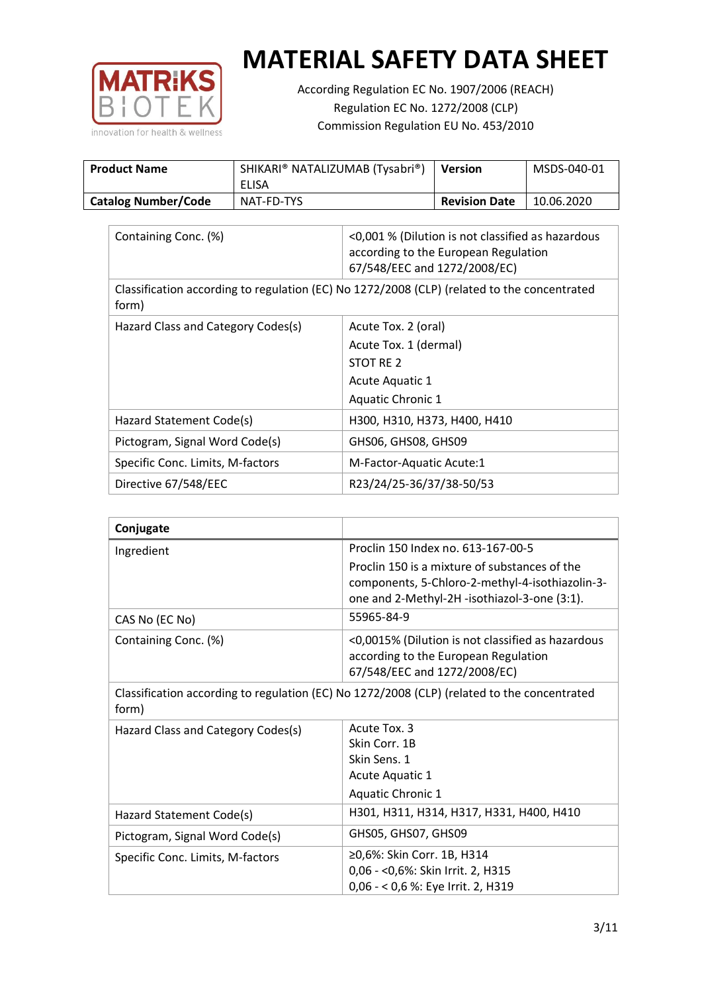

According Regulation EC No. 1907/2006 (REACH) Regulation EC No. 1272/2008 (CLP) Commission Regulation EU No. 453/2010

| <b>Product Name</b>        | SHIKARI® NATALIZUMAB (Tysabri®)<br><b>ELISA</b> | <b>Version</b>       | MSDS-040-01 |
|----------------------------|-------------------------------------------------|----------------------|-------------|
| <b>Catalog Number/Code</b> | NAT-FD-TYS                                      | <b>Revision Date</b> | 10.06.2020  |

| Containing Conc. (%)                                                                                 | <0,001 % (Dilution is not classified as hazardous<br>according to the European Regulation<br>67/548/EEC and 1272/2008/EC) |  |
|------------------------------------------------------------------------------------------------------|---------------------------------------------------------------------------------------------------------------------------|--|
| Classification according to regulation (EC) No 1272/2008 (CLP) (related to the concentrated<br>form) |                                                                                                                           |  |
| Hazard Class and Category Codes(s)                                                                   | Acute Tox. 2 (oral)                                                                                                       |  |
|                                                                                                      | Acute Tox. 1 (dermal)                                                                                                     |  |
|                                                                                                      | STOT RE 2                                                                                                                 |  |
|                                                                                                      | Acute Aquatic 1                                                                                                           |  |
|                                                                                                      | <b>Aquatic Chronic 1</b>                                                                                                  |  |
| Hazard Statement Code(s)                                                                             | H300, H310, H373, H400, H410                                                                                              |  |
| Pictogram, Signal Word Code(s)                                                                       | GHS06, GHS08, GHS09                                                                                                       |  |
| Specific Conc. Limits, M-factors                                                                     | M-Factor-Aquatic Acute:1                                                                                                  |  |
| Directive 67/548/EEC                                                                                 | R23/24/25-36/37/38-50/53                                                                                                  |  |

| Conjugate                                                                                            |                                                                                                                                                  |  |
|------------------------------------------------------------------------------------------------------|--------------------------------------------------------------------------------------------------------------------------------------------------|--|
| Ingredient                                                                                           | Proclin 150 Index no. 613-167-00-5                                                                                                               |  |
|                                                                                                      | Proclin 150 is a mixture of substances of the<br>components, 5-Chloro-2-methyl-4-isothiazolin-3-<br>one and 2-Methyl-2H -isothiazol-3-one (3:1). |  |
| CAS No (EC No)                                                                                       | 55965-84-9                                                                                                                                       |  |
| Containing Conc. (%)                                                                                 | <0,0015% (Dilution is not classified as hazardous<br>according to the European Regulation<br>67/548/EEC and 1272/2008/EC)                        |  |
| Classification according to regulation (EC) No 1272/2008 (CLP) (related to the concentrated<br>form) |                                                                                                                                                  |  |
| Hazard Class and Category Codes(s)                                                                   | Acute Tox. 3                                                                                                                                     |  |
|                                                                                                      | Skin Corr. 1B                                                                                                                                    |  |
|                                                                                                      | Skin Sens. 1                                                                                                                                     |  |
|                                                                                                      | Acute Aquatic 1                                                                                                                                  |  |
|                                                                                                      | <b>Aquatic Chronic 1</b>                                                                                                                         |  |
| Hazard Statement Code(s)                                                                             | H301, H311, H314, H317, H331, H400, H410                                                                                                         |  |
| Pictogram, Signal Word Code(s)                                                                       | GHS05, GHS07, GHS09                                                                                                                              |  |
| Specific Conc. Limits, M-factors                                                                     | ≥0,6%: Skin Corr. 1B, H314                                                                                                                       |  |
|                                                                                                      | 0,06 - < 0,6%: Skin Irrit. 2, H315                                                                                                               |  |
|                                                                                                      | 0,06 - < 0,6 %: Eye Irrit. 2, H319                                                                                                               |  |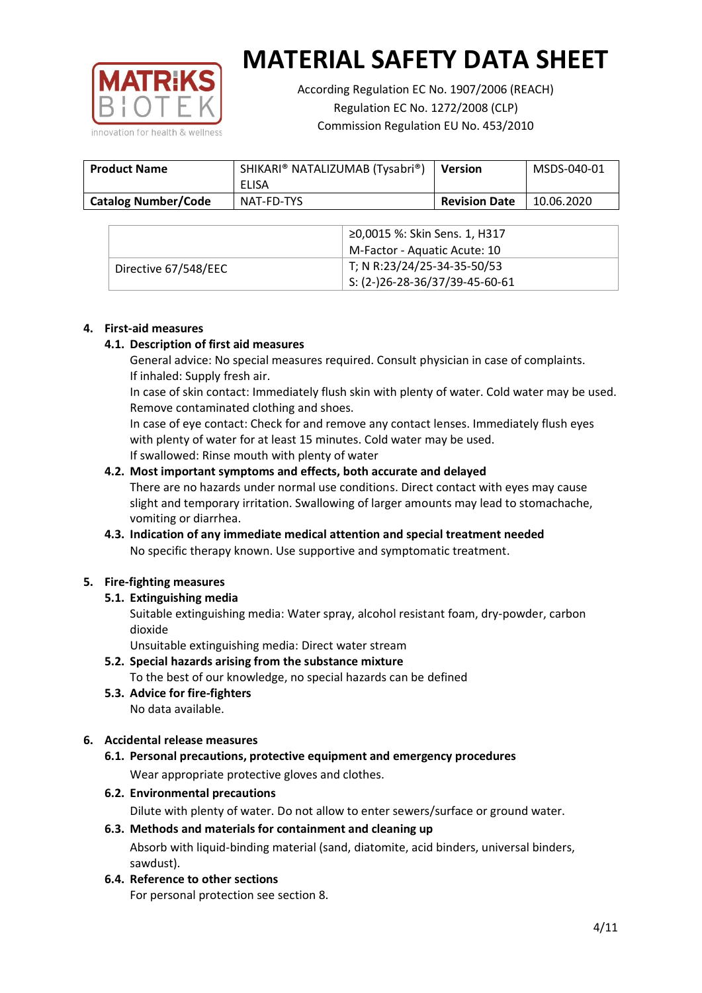

According Regulation EC No. 1907/2006 (REACH) Regulation EC No. 1272/2008 (CLP) Commission Regulation EU No. 453/2010

| <b>Product Name</b>        | SHIKARI® NATALIZUMAB (Tysabri®)<br>ELISA | <b>Version</b>       | MSDS-040-01 |
|----------------------------|------------------------------------------|----------------------|-------------|
| <b>Catalog Number/Code</b> | NAT-FD-TYS                               | <b>Revision Date</b> | 10.06.2020  |

|                      | ≥0,0015 %: Skin Sens. 1, H317                |
|----------------------|----------------------------------------------|
|                      | M-Factor - Aquatic Acute: 10                 |
| Directive 67/548/EEC | T; N R:23/24/25-34-35-50/53                  |
|                      | $\frac{1}{2}$ S: (2-)26-28-36/37/39-45-60-61 |

## **4. First-aid measures**

## **4.1. Description of first aid measures**

General advice: No special measures required. Consult physician in case of complaints. If inhaled: Supply fresh air.

In case of skin contact: Immediately flush skin with plenty of water. Cold water may be used. Remove contaminated clothing and shoes.

In case of eye contact: Check for and remove any contact lenses. Immediately flush eyes with plenty of water for at least 15 minutes. Cold water may be used. If swallowed: Rinse mouth with plenty of water

## **4.2. Most important symptoms and effects, both accurate and delayed**

There are no hazards under normal use conditions. Direct contact with eyes may cause slight and temporary irritation. Swallowing of larger amounts may lead to stomachache, vomiting or diarrhea.

# **4.3. Indication of any immediate medical attention and special treatment needed** No specific therapy known. Use supportive and symptomatic treatment.

# **5. Fire-fighting measures**

# **5.1. Extinguishing media**

Suitable extinguishing media: Water spray, alcohol resistant foam, dry-powder, carbon dioxide

Unsuitable extinguishing media: Direct water stream

- **5.2. Special hazards arising from the substance mixture** To the best of our knowledge, no special hazards can be defined
- **5.3. Advice for fire-fighters** No data available.

# **6. Accidental release measures**

- **6.1. Personal precautions, protective equipment and emergency procedures** Wear appropriate protective gloves and clothes.
- **6.2. Environmental precautions**

Dilute with plenty of water. Do not allow to enter sewers/surface or ground water.

## **6.3. Methods and materials for containment and cleaning up** Absorb with liquid-binding material (sand, diatomite, acid binders, universal binders, sawdust).

**6.4. Reference to other sections**

For personal protection see section 8.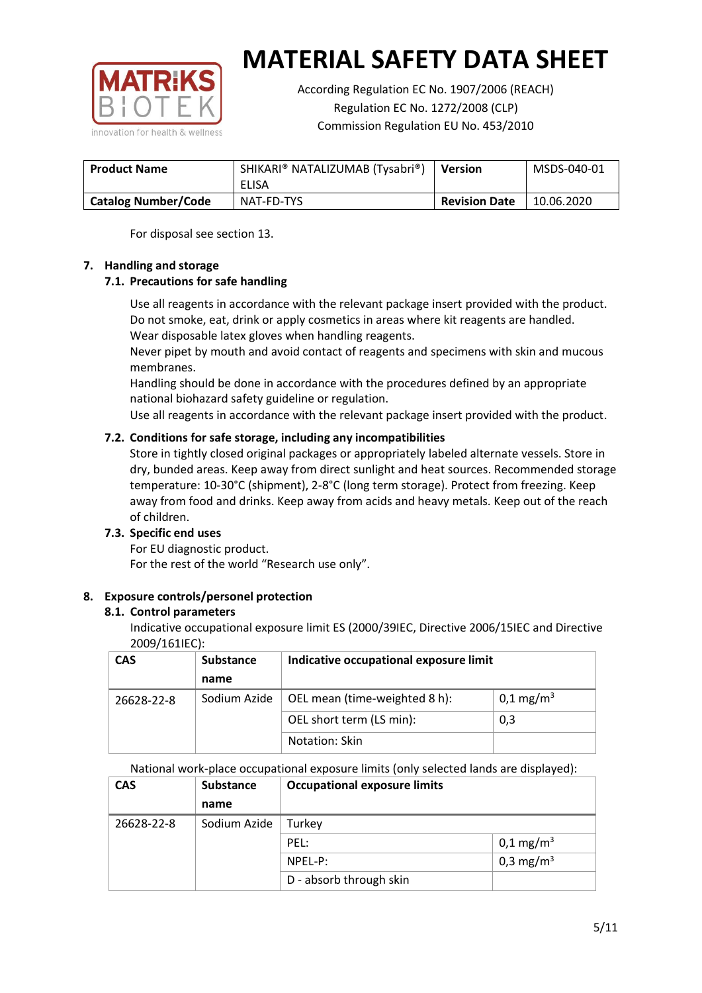

According Regulation EC No. 1907/2006 (REACH) Regulation EC No. 1272/2008 (CLP) Commission Regulation EU No. 453/2010

| <b>Product Name</b>        | SHIKARI® NATALIZUMAB (Tysabri®)<br>ELISA | <b>Version</b>       | MSDS-040-01 |
|----------------------------|------------------------------------------|----------------------|-------------|
| <b>Catalog Number/Code</b> | NAT-FD-TYS                               | <b>Revision Date</b> | 10.06.2020  |

For disposal see section 13.

## **7. Handling and storage**

# **7.1. Precautions for safe handling**

Use all reagents in accordance with the relevant package insert provided with the product. Do not smoke, eat, drink or apply cosmetics in areas where kit reagents are handled. Wear disposable latex gloves when handling reagents.

Never pipet by mouth and avoid contact of reagents and specimens with skin and mucous membranes.

Handling should be done in accordance with the procedures defined by an appropriate national biohazard safety guideline or regulation.

Use all reagents in accordance with the relevant package insert provided with the product.

# **7.2. Conditions for safe storage, including any incompatibilities**

Store in tightly closed original packages or appropriately labeled alternate vessels. Store in dry, bunded areas. Keep away from direct sunlight and heat sources. Recommended storage temperature: 10-30°C (shipment), 2-8°C (long term storage). Protect from freezing. Keep away from food and drinks. Keep away from acids and heavy metals. Keep out of the reach of children.

#### **7.3. Specific end uses**

For EU diagnostic product. For the rest of the world "Research use only".

# **8. Exposure controls/personel protection**

#### **8.1. Control parameters**

Indicative occupational exposure limit ES (2000/39IEC, Directive 2006/15IEC and Directive 2009/161IEC):

| <b>CAS</b> | <b>Substance</b> | Indicative occupational exposure limit |                       |
|------------|------------------|----------------------------------------|-----------------------|
|            | name             |                                        |                       |
| 26628-22-8 | Sodium Azide     | OEL mean (time-weighted 8 h):          | 0,1 mg/m <sup>3</sup> |
|            |                  | OEL short term (LS min):               | 0,3                   |
|            | Notation: Skin   |                                        |                       |

National work-place occupational exposure limits (only selected lands are displayed):

| <b>CAS</b> | Substance    | <b>Occupational exposure limits</b> |                         |
|------------|--------------|-------------------------------------|-------------------------|
|            | name         |                                     |                         |
| 26628-22-8 | Sodium Azide | Turkey                              |                         |
|            |              | PEL:                                | $0,1 \,\mathrm{mg/m^3}$ |
|            |              | NPEL-P:                             | 0,3 mg/m <sup>3</sup>   |
|            |              | D - absorb through skin             |                         |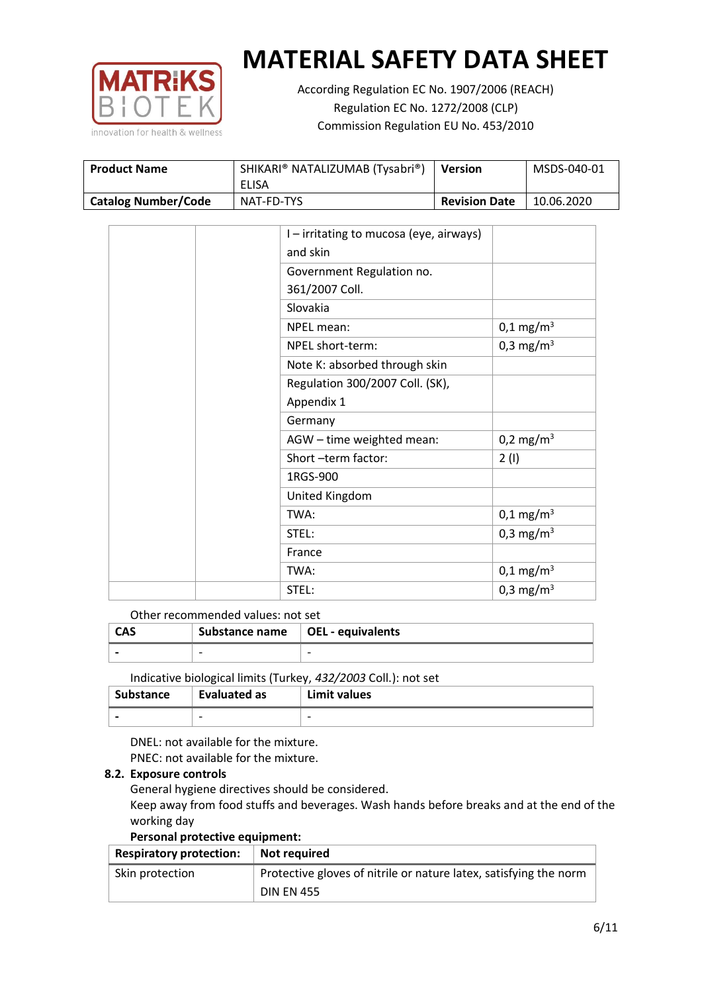

According Regulation EC No. 1907/2006 (REACH) Regulation EC No. 1272/2008 (CLP) Commission Regulation EU No. 453/2010

| <b>Product Name</b>        | SHIKARI® NATALIZUMAB (Tysabri®) | <b>Version</b>       | MSDS-040-01 |
|----------------------------|---------------------------------|----------------------|-------------|
|                            | ELISA                           |                      |             |
| <b>Catalog Number/Code</b> | NAT-FD-TYS                      | <b>Revision Date</b> | 10.06.2020  |

|  | I – irritating to mucosa (eye, airways) |                         |
|--|-----------------------------------------|-------------------------|
|  | and skin                                |                         |
|  | Government Regulation no.               |                         |
|  | 361/2007 Coll.                          |                         |
|  | Slovakia                                |                         |
|  | NPEL mean:                              | $0,1 \text{ mg/m}^3$    |
|  | NPEL short-term:                        | 0,3 mg/m <sup>3</sup>   |
|  | Note K: absorbed through skin           |                         |
|  | Regulation 300/2007 Coll. (SK),         |                         |
|  | Appendix 1                              |                         |
|  | Germany                                 |                         |
|  | AGW - time weighted mean:               | 0,2 mg/m <sup>3</sup>   |
|  | Short-term factor:                      | 2(1)                    |
|  | 1RGS-900                                |                         |
|  | United Kingdom                          |                         |
|  | TWA:                                    | $0,1 \,\mathrm{mg/m^3}$ |
|  | STEL:                                   | 0,3 mg/m <sup>3</sup>   |
|  | France                                  |                         |
|  | TWA:                                    | $0,1 \,\mathrm{mg/m^3}$ |
|  | STEL:                                   | 0,3 mg/m <sup>3</sup>   |

## Other recommended values: not set

| CAS | Substance name $\vert$ OEL - equivalents |   |
|-----|------------------------------------------|---|
|     | $\overline{\phantom{0}}$                 | - |
|     |                                          |   |

Indicative biological limits (Turkey, *432/2003* Coll.): not set

| Substance                | <b>Evaluated as</b>      | Limit values |
|--------------------------|--------------------------|--------------|
| $\overline{\phantom{0}}$ | $\overline{\phantom{0}}$ | -            |

DNEL: not available for the mixture. PNEC: not available for the mixture.

#### **8.2. Exposure controls**

General hygiene directives should be considered.

Keep away from food stuffs and beverages. Wash hands before breaks and at the end of the working day

#### **Personal protective equipment:**

| <b>Respiratory protection:</b> | Not required                                                      |
|--------------------------------|-------------------------------------------------------------------|
| Skin protection                | Protective gloves of nitrile or nature latex, satisfying the norm |
|                                | <b>DIN EN 455</b>                                                 |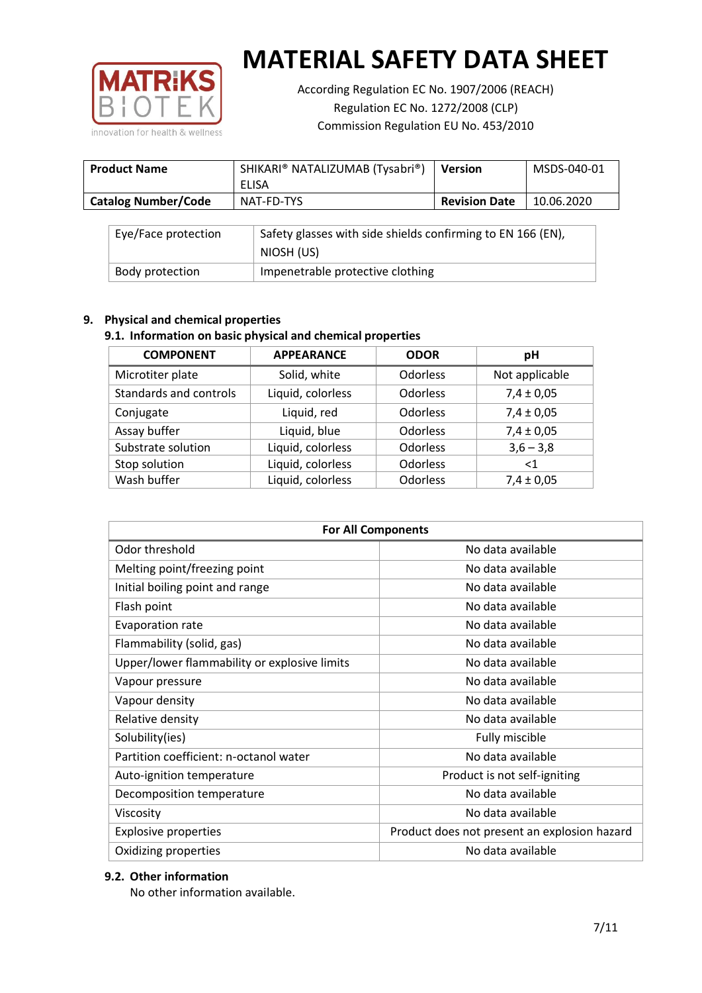

According Regulation EC No. 1907/2006 (REACH) Regulation EC No. 1272/2008 (CLP) Commission Regulation EU No. 453/2010

| <b>Product Name</b>        | SHIKARI® NATALIZUMAB (Tysabri®) | <b>Version</b>       | MSDS-040-01 |
|----------------------------|---------------------------------|----------------------|-------------|
|                            | ELISA                           |                      |             |
| <b>Catalog Number/Code</b> | NAT-FD-TYS                      | <b>Revision Date</b> | 10.06.2020  |

| Eye/Face protection | Safety glasses with side shields confirming to EN 166 (EN),<br>NIOSH (US) |
|---------------------|---------------------------------------------------------------------------|
| Body protection     | Impenetrable protective clothing                                          |

# **9. Physical and chemical properties**

# **9.1. Information on basic physical and chemical properties**

| <b>COMPONENT</b>       | <b>APPEARANCE</b> | <b>ODOR</b>     | pH             |
|------------------------|-------------------|-----------------|----------------|
| Microtiter plate       | Solid, white      | Odorless        | Not applicable |
| Standards and controls | Liquid, colorless | Odorless        | $7,4 \pm 0,05$ |
| Conjugate              | Liquid, red       | <b>Odorless</b> | $7,4 \pm 0,05$ |
| Assay buffer           | Liquid, blue      | <b>Odorless</b> | $7,4 \pm 0,05$ |
| Substrate solution     | Liquid, colorless | Odorless        | $3,6 - 3,8$    |
| Stop solution          | Liquid, colorless | Odorless        | $\leq 1$       |
| Wash buffer            | Liquid, colorless | Odorless        | $7,4 \pm 0,05$ |

| <b>For All Components</b>                    |                                              |  |  |
|----------------------------------------------|----------------------------------------------|--|--|
| Odor threshold                               | No data available                            |  |  |
| Melting point/freezing point                 | No data available                            |  |  |
| Initial boiling point and range              | No data available                            |  |  |
| Flash point                                  | No data available                            |  |  |
| Evaporation rate                             | No data available                            |  |  |
| Flammability (solid, gas)                    | No data available                            |  |  |
| Upper/lower flammability or explosive limits | No data available                            |  |  |
| Vapour pressure                              | No data available                            |  |  |
| Vapour density                               | No data available                            |  |  |
| Relative density                             | No data available                            |  |  |
| Solubility(ies)                              | Fully miscible                               |  |  |
| Partition coefficient: n-octanol water       | No data available                            |  |  |
| Auto-ignition temperature                    | Product is not self-igniting                 |  |  |
| Decomposition temperature                    | No data available                            |  |  |
| Viscosity                                    | No data available                            |  |  |
| <b>Explosive properties</b>                  | Product does not present an explosion hazard |  |  |
| Oxidizing properties                         | No data available                            |  |  |

# **9.2. Other information**

No other information available.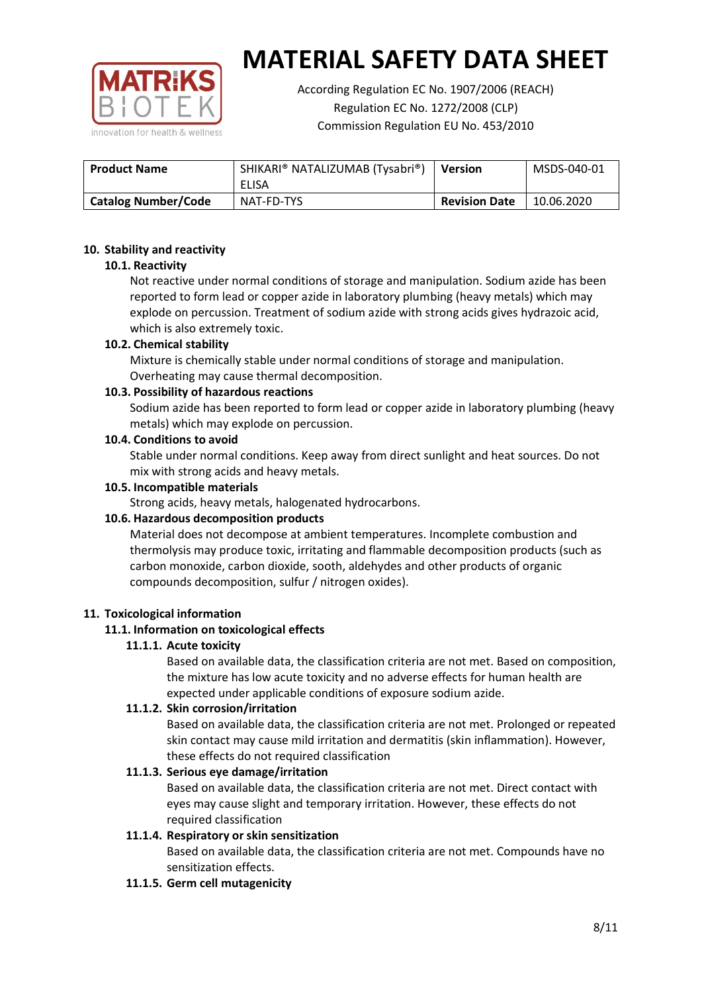

According Regulation EC No. 1907/2006 (REACH) Regulation EC No. 1272/2008 (CLP) Commission Regulation EU No. 453/2010

| <b>Product Name</b>        | SHIKARI® NATALIZUMAB (Tysabri®) | <b>Version</b>       | MSDS-040-01 |
|----------------------------|---------------------------------|----------------------|-------------|
|                            | ELISA                           |                      |             |
| <b>Catalog Number/Code</b> | NAT-FD-TYS                      | <b>Revision Date</b> | 10.06.2020  |

## **10. Stability and reactivity**

## **10.1. Reactivity**

Not reactive under normal conditions of storage and manipulation. Sodium azide has been reported to form lead or copper azide in laboratory plumbing (heavy metals) which may explode on percussion. Treatment of sodium azide with strong acids gives hydrazoic acid, which is also extremely toxic.

## **10.2. Chemical stability**

Mixture is chemically stable under normal conditions of storage and manipulation. Overheating may cause thermal decomposition.

## **10.3. Possibility of hazardous reactions**

Sodium azide has been reported to form lead or copper azide in laboratory plumbing (heavy metals) which may explode on percussion.

#### **10.4. Conditions to avoid**

Stable under normal conditions. Keep away from direct sunlight and heat sources. Do not mix with strong acids and heavy metals.

#### **10.5. Incompatible materials**

Strong acids, heavy metals, halogenated hydrocarbons.

# **10.6. Hazardous decomposition products**

Material does not decompose at ambient temperatures. Incomplete combustion and thermolysis may produce toxic, irritating and flammable decomposition products (such as carbon monoxide, carbon dioxide, sooth, aldehydes and other products of organic compounds decomposition, sulfur / nitrogen oxides).

#### **11. Toxicological information**

# **11.1. Information on toxicological effects**

#### **11.1.1. Acute toxicity**

Based on available data, the classification criteria are not met. Based on composition, the mixture has low acute toxicity and no adverse effects for human health are expected under applicable conditions of exposure sodium azide.

# **11.1.2. Skin corrosion/irritation**

Based on available data, the classification criteria are not met. Prolonged or repeated skin contact may cause mild irritation and dermatitis (skin inflammation). However, these effects do not required classification

# **11.1.3. Serious eye damage/irritation**

Based on available data, the classification criteria are not met. Direct contact with eyes may cause slight and temporary irritation. However, these effects do not required classification

# **11.1.4. Respiratory or skin sensitization**

Based on available data, the classification criteria are not met. Compounds have no sensitization effects.

#### **11.1.5. Germ cell mutagenicity**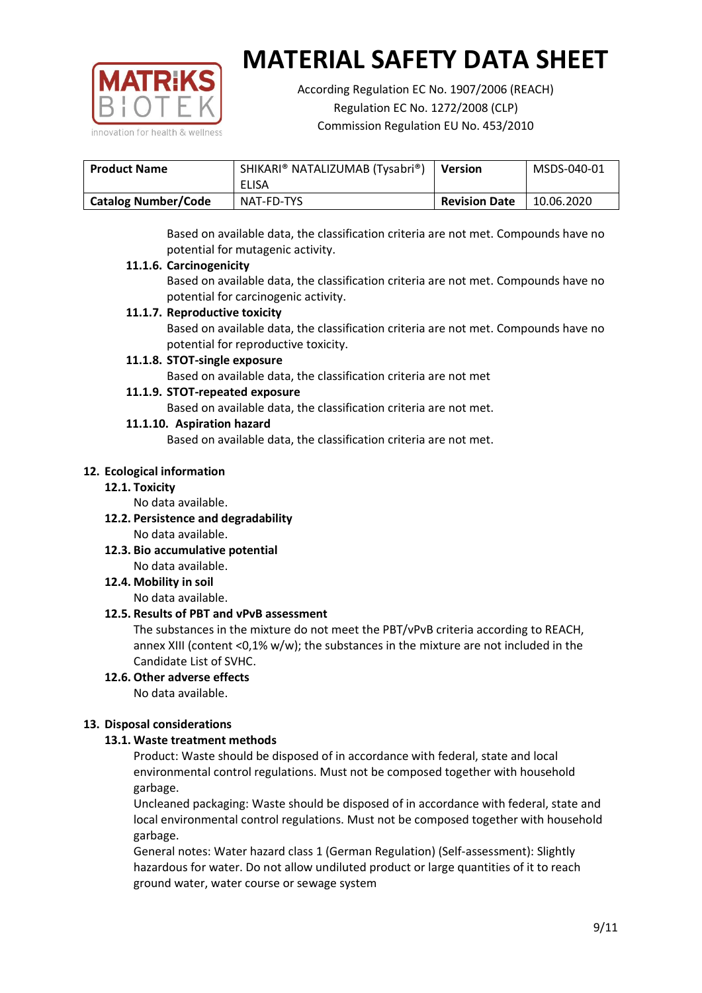

According Regulation EC No. 1907/2006 (REACH) Regulation EC No. 1272/2008 (CLP) Commission Regulation EU No. 453/2010

| <b>Product Name</b> | SHIKARI® NATALIZUMAB (Tysabri®) | <b>Version</b>       | MSDS-040-01 |
|---------------------|---------------------------------|----------------------|-------------|
|                     | ELISA                           |                      |             |
| Catalog Number/Code | NAT-FD-TYS                      | <b>Revision Date</b> | 10.06.2020  |

Based on available data, the classification criteria are not met. Compounds have no potential for mutagenic activity.

## **11.1.6. Carcinogenicity**

Based on available data, the classification criteria are not met. Compounds have no potential for carcinogenic activity.

## **11.1.7. Reproductive toxicity**

Based on available data, the classification criteria are not met. Compounds have no potential for reproductive toxicity.

## **11.1.8. STOT-single exposure**

Based on available data, the classification criteria are not met

## **11.1.9. STOT-repeated exposure**

Based on available data, the classification criteria are not met.

## **11.1.10. Aspiration hazard**

Based on available data, the classification criteria are not met.

## **12. Ecological information**

#### **12.1. Toxicity**

No data available.

- **12.2. Persistence and degradability** No data available.
- **12.3. Bio accumulative potential** No data available.

**12.4. Mobility in soil**

No data available.

# **12.5. Results of PBT and vPvB assessment**

The substances in the mixture do not meet the PBT/vPvB criteria according to REACH, annex XIII (content <0,1% w/w); the substances in the mixture are not included in the Candidate List of SVHC.

#### **12.6. Other adverse effects** No data available.

# **13. Disposal considerations**

# **13.1. Waste treatment methods**

Product: Waste should be disposed of in accordance with federal, state and local environmental control regulations. Must not be composed together with household garbage.

Uncleaned packaging: Waste should be disposed of in accordance with federal, state and local environmental control regulations. Must not be composed together with household garbage.

General notes: Water hazard class 1 (German Regulation) (Self-assessment): Slightly hazardous for water. Do not allow undiluted product or large quantities of it to reach ground water, water course or sewage system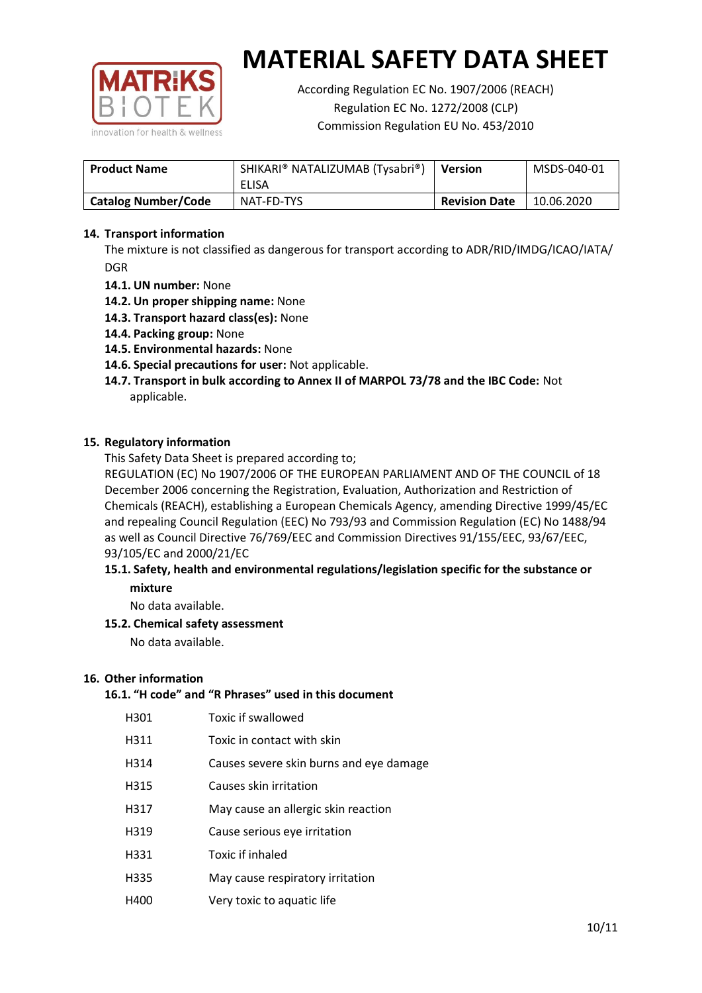

According Regulation EC No. 1907/2006 (REACH) Regulation EC No. 1272/2008 (CLP) Commission Regulation EU No. 453/2010

| <b>Product Name</b>        | SHIKARI® NATALIZUMAB (Tysabri®)<br>ELISA | <b>Version</b>       | MSDS-040-01 |
|----------------------------|------------------------------------------|----------------------|-------------|
| <b>Catalog Number/Code</b> | NAT-FD-TYS                               | <b>Revision Date</b> | 10.06.2020  |

## **14. Transport information**

The mixture is not classified as dangerous for transport according to ADR/RID/IMDG/ICAO/IATA/ DGR

- **14.1. UN number:** None
- **14.2. Un proper shipping name:** None
- **14.3. Transport hazard class(es):** None
- **14.4. Packing group:** None
- **14.5. Environmental hazards:** None
- **14.6. Special precautions for user:** Not applicable.
- **14.7. Transport in bulk according to Annex II of MARPOL 73/78 and the IBC Code:** Not applicable.

#### **15. Regulatory information**

This Safety Data Sheet is prepared according to;

REGULATION (EC) No 1907/2006 OF THE EUROPEAN PARLIAMENT AND OF THE COUNCIL of 18 December 2006 concerning the Registration, Evaluation, Authorization and Restriction of Chemicals (REACH), establishing a European Chemicals Agency, amending Directive 1999/45/EC and repealing Council Regulation (EEC) No 793/93 and Commission Regulation (EC) No 1488/94 as well as Council Directive 76/769/EEC and Commission Directives 91/155/EEC, 93/67/EEC, 93/105/EC and 2000/21/EC

## **15.1. Safety, health and environmental regulations/legislation specific for the substance or mixture**

No data available.

# **15.2. Chemical safety assessment**

No data available.

#### **16. Other information**

## **16.1. "H code" and "R Phrases" used in this document**

| H301 | Toxic if swallowed |
|------|--------------------|
|      |                    |

- H311 Toxic in contact with skin
- H314 Causes severe skin burns and eye damage
- H315 Causes skin irritation
- H317 May cause an allergic skin reaction
- H319 Cause serious eye irritation
- H331 Toxic if inhaled
- H335 May cause respiratory irritation
- H400 Very toxic to aquatic life